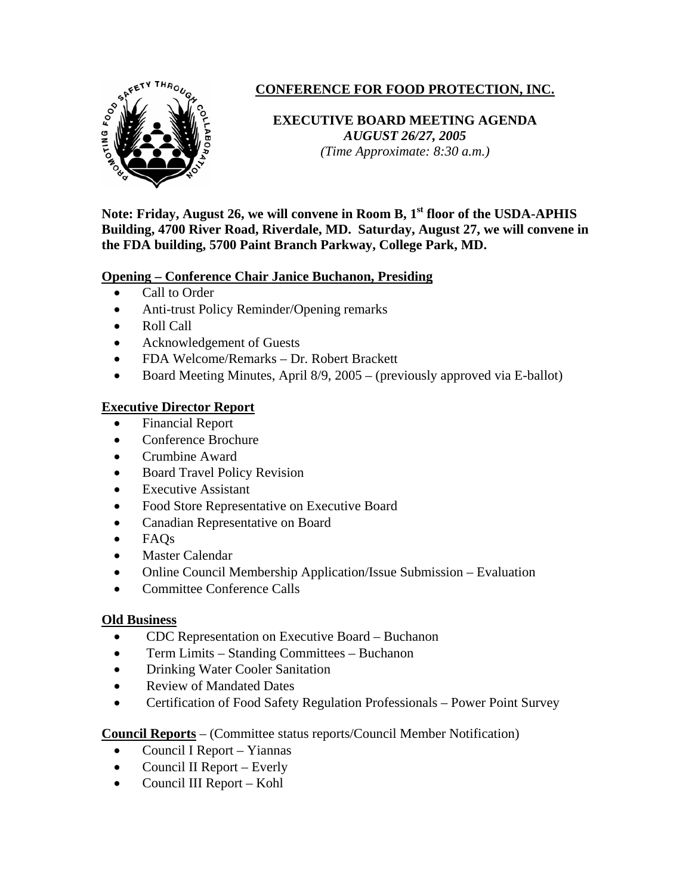

# **CONFERENCE FOR FOOD PROTECTION, INC.**

## **EXECUTIVE BOARD MEETING AGENDA**  *AUGUST 26/27, 2005 (Time Approximate: 8:30 a.m.)*

Note: Friday, August 26, we will convene in Room B, 1<sup>st</sup> floor of the USDA-APHIS **Building, 4700 River Road, Riverdale, MD. Saturday, August 27, we will convene in the FDA building, 5700 Paint Branch Parkway, College Park, MD.** 

## **Opening – Conference Chair Janice Buchanon, Presiding**

- Call to Order
- Anti-trust Policy Reminder/Opening remarks
- Roll Call
- Acknowledgement of Guests
- FDA Welcome/Remarks Dr. Robert Brackett
- Board Meeting Minutes, April 8/9, 2005 (previously approved via E-ballot)

## **Executive Director Report**

- Financial Report
- Conference Brochure
- Crumbine Award
- Board Travel Policy Revision
- **Executive Assistant**
- Food Store Representative on Executive Board
- Canadian Representative on Board
- FAQs
- Master Calendar
- Online Council Membership Application/Issue Submission Evaluation
- Committee Conference Calls

#### **Old Business**

- CDC Representation on Executive Board Buchanon
- Term Limits Standing Committees Buchanon
- Drinking Water Cooler Sanitation
- Review of Mandated Dates
- Certification of Food Safety Regulation Professionals Power Point Survey

**Council Reports** – (Committee status reports/Council Member Notification)

- Council I Report Yiannas
- Council II Report Everly
- Council III Report Kohl